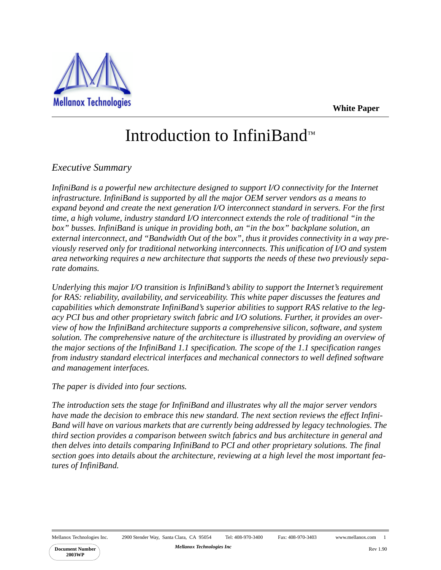**White Paper**



# Introduction to InfiniBand™

# *Executive Summary*

*InfiniBand is a powerful new architecture designed to support I/O connectivity for the Internet infrastructure. InfiniBand is supported by all the major OEM server vendors as a means to expand beyond and create the next generation I/O interconnect standard in servers. For the first time, a high volume, industry standard I/O interconnect extends the role of traditional "in the box" busses. InfiniBand is unique in providing both, an "in the box" backplane solution, an external interconnect, and "Bandwidth Out of the box", thus it provides connectivity in a way previously reserved only for traditional networking interconnects. This unification of I/O and system area networking requires a new architecture that supports the needs of these two previously separate domains.* 

*Underlying this major I/O transition is InfiniBand's ability to support the Internet's requirement for RAS: reliability, availability, and serviceability. This white paper discusses the features and capabilities which demonstrate InfiniBand's superior abilities to support RAS relative to the legacy PCI bus and other proprietary switch fabric and I/O solutions. Further, it provides an overview of how the InfiniBand architecture supports a comprehensive silicon, software, and system solution. The comprehensive nature of the architecture is illustrated by providing an overview of the major sections of the InfiniBand 1.1 specification. The scope of the 1.1 specification ranges from industry standard electrical interfaces and mechanical connectors to well defined software and management interfaces.* 

*The paper is divided into four sections.* 

*The introduction sets the stage for InfiniBand and illustrates why all the major server vendors have made the decision to embrace this new standard. The next section reviews the effect Infini-Band will have on various markets that are currently being addressed by legacy technologies. The third section provides a comparison between switch fabrics and bus architecture in general and then delves into details comparing InfiniBand to PCI and other proprietary solutions. The final section goes into details about the architecture, reviewing at a high level the most important features of InfiniBand.*

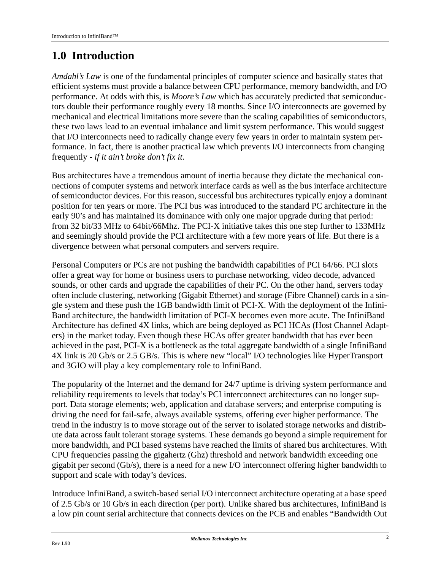# **1.0 Introduction**

*Amdahl's Law* is one of the fundamental principles of computer science and basically states that efficient systems must provide a balance between CPU performance, memory bandwidth, and I/O performance. At odds with this, is *Moore's Law* which has accurately predicted that semiconductors double their performance roughly every 18 months. Since I/O interconnects are governed by mechanical and electrical limitations more severe than the scaling capabilities of semiconductors, these two laws lead to an eventual imbalance and limit system performance. This would suggest that I/O interconnects need to radically change every few years in order to maintain system performance. In fact, there is another practical law which prevents I/O interconnects from changing frequently - *if it ain't broke don't fix it*.

Bus architectures have a tremendous amount of inertia because they dictate the mechanical connections of computer systems and network interface cards as well as the bus interface architecture of semiconductor devices. For this reason, successful bus architectures typically enjoy a dominant position for ten years or more. The PCI bus was introduced to the standard PC architecture in the early 90's and has maintained its dominance with only one major upgrade during that period: from 32 bit/33 MHz to 64bit/66Mhz. The PCI-X initiative takes this one step further to 133MHz and seemingly should provide the PCI architecture with a few more years of life. But there is a divergence between what personal computers and servers require.

Personal Computers or PCs are not pushing the bandwidth capabilities of PCI 64/66. PCI slots offer a great way for home or business users to purchase networking, video decode, advanced sounds, or other cards and upgrade the capabilities of their PC. On the other hand, servers today often include clustering, networking (Gigabit Ethernet) and storage (Fibre Channel) cards in a single system and these push the 1GB bandwidth limit of PCI-X. With the deployment of the Infini-Band architecture, the bandwidth limitation of PCI-X becomes even more acute. The InfiniBand Architecture has defined 4X links, which are being deployed as PCI HCAs (Host Channel Adapters) in the market today. Even though these HCAs offer greater bandwidth that has ever been achieved in the past, PCI-X is a bottleneck as the total aggregate bandwidth of a single InfiniBand 4X link is 20 Gb/s or 2.5 GB/s. This is where new "local" I/O technologies like HyperTransport and 3GIO will play a key complementary role to InfiniBand.

The popularity of the Internet and the demand for 24/7 uptime is driving system performance and reliability requirements to levels that today's PCI interconnect architectures can no longer support. Data storage elements; web, application and database servers; and enterprise computing is driving the need for fail-safe, always available systems, offering ever higher performance. The trend in the industry is to move storage out of the server to isolated storage networks and distribute data across fault tolerant storage systems. These demands go beyond a simple requirement for more bandwidth, and PCI based systems have reached the limits of shared bus architectures. With CPU frequencies passing the gigahertz (Ghz) threshold and network bandwidth exceeding one gigabit per second (Gb/s), there is a need for a new I/O interconnect offering higher bandwidth to support and scale with today's devices.

Introduce InfiniBand, a switch-based serial I/O interconnect architecture operating at a base speed of 2.5 Gb/s or 10 Gb/s in each direction (per port). Unlike shared bus architectures, InfiniBand is a low pin count serial architecture that connects devices on the PCB and enables "Bandwidth Out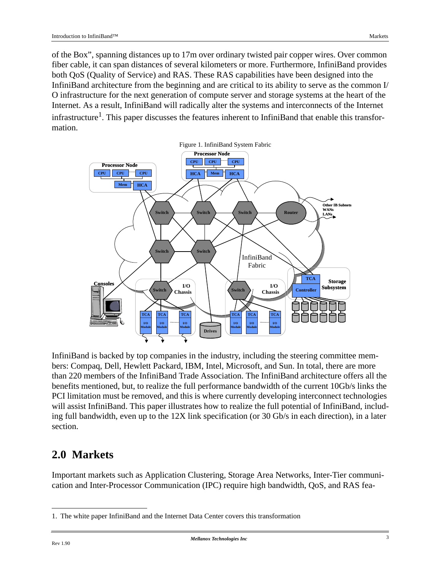of the Box", spanning distances up to 17m over ordinary twisted pair copper wires. Over common fiber cable, it can span distances of several kilometers or more. Furthermore, InfiniBand provides both QoS (Quality of Service) and RAS. These RAS capabilities have been designed into the InfiniBand architecture from the beginning and are critical to its ability to serve as the common I/ O infrastructure for the next generation of compute server and storage systems at the heart of the Internet. As a result, InfiniBand will radically alter the systems and interconnects of the Internet infrastructure<sup>1</sup>. This paper discusses the features inherent to InfiniBand that enable this transformation.



InfiniBand is backed by top companies in the industry, including the steering committee members: Compaq, Dell, Hewlett Packard, IBM, Intel, Microsoft, and Sun. In total, there are more than 220 members of the InfiniBand Trade Association. The InfiniBand architecture offers all the benefits mentioned, but, to realize the full performance bandwidth of the current 10Gb/s links the PCI limitation must be removed, and this is where currently developing interconnect technologies will assist InfiniBand. This paper illustrates how to realize the full potential of InfiniBand, including full bandwidth, even up to the 12X link specification (or 30 Gb/s in each direction), in a later section.

# **2.0 Markets**

Important markets such as Application Clustering, Storage Area Networks, Inter-Tier communication and Inter-Processor Communication (IPC) require high bandwidth, QoS, and RAS fea-

<sup>1.</sup> The white paper InfiniBand and the Internet Data Center covers this transformation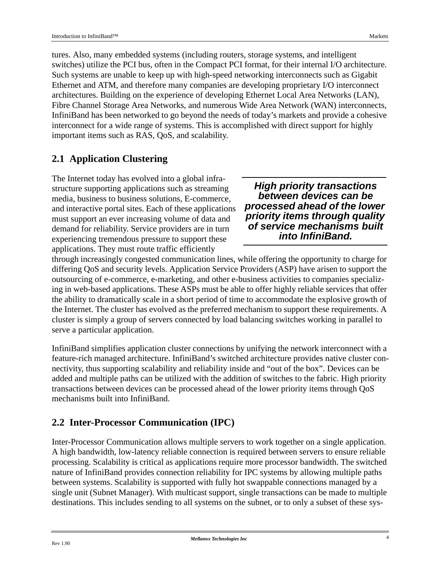tures. Also, many embedded systems (including routers, storage systems, and intelligent switches) utilize the PCI bus, often in the Compact PCI format, for their internal I/O architecture. Such systems are unable to keep up with high-speed networking interconnects such as Gigabit Ethernet and ATM, and therefore many companies are developing proprietary I/O interconnect architectures. Building on the experience of developing Ethernet Local Area Networks (LAN), Fibre Channel Storage Area Networks, and numerous Wide Area Network (WAN) interconnects, InfiniBand has been networked to go beyond the needs of today's markets and provide a cohesive interconnect for a wide range of systems. This is accomplished with direct support for highly important items such as RAS, QoS, and scalability.

# **2.1 Application Clustering**

The Internet today has evolved into a global infrastructure supporting applications such as streaming media, business to business solutions, E-commerce, and interactive portal sites. Each of these applications must support an ever increasing volume of data and demand for reliability. Service providers are in turn experiencing tremendous pressure to support these applications. They must route traffic efficiently

*High priority transactions between devices can be processed ahead of the lower priority items through quality of service mechanisms built into InfiniBand.*

through increasingly congested communication lines, while offering the opportunity to charge for differing QoS and security levels. Application Service Providers (ASP) have arisen to support the outsourcing of e-commerce, e-marketing, and other e-business activities to companies specializing in web-based applications. These ASPs must be able to offer highly reliable services that offer the ability to dramatically scale in a short period of time to accommodate the explosive growth of the Internet. The cluster has evolved as the preferred mechanism to support these requirements. A cluster is simply a group of servers connected by load balancing switches working in parallel to serve a particular application.

InfiniBand simplifies application cluster connections by unifying the network interconnect with a feature-rich managed architecture. InfiniBand's switched architecture provides native cluster connectivity, thus supporting scalability and reliability inside and "out of the box". Devices can be added and multiple paths can be utilized with the addition of switches to the fabric. High priority transactions between devices can be processed ahead of the lower priority items through QoS mechanisms built into InfiniBand.

# **2.2 Inter-Processor Communication (IPC)**

Inter-Processor Communication allows multiple servers to work together on a single application. A high bandwidth, low-latency reliable connection is required between servers to ensure reliable processing. Scalability is critical as applications require more processor bandwidth. The switched nature of InfiniBand provides connection reliability for IPC systems by allowing multiple paths between systems. Scalability is supported with fully hot swappable connections managed by a single unit (Subnet Manager). With multicast support, single transactions can be made to multiple destinations. This includes sending to all systems on the subnet, or to only a subset of these sys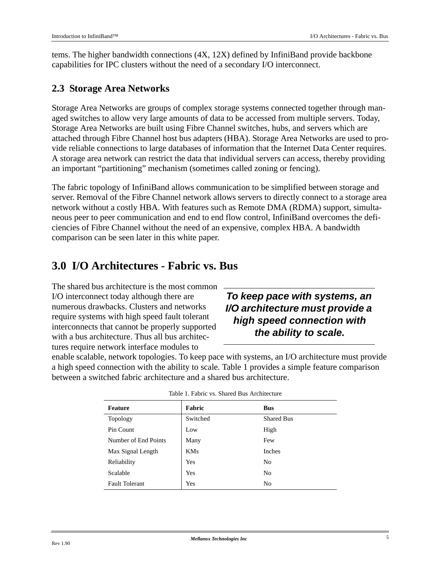tems. The higher bandwidth connections (4X, 12X) defined by InfiniBand provide backbone capabilities for IPC clusters without the need of a secondary I/O interconnect.

# **2.3 Storage Area Networks**

Storage Area Networks are groups of complex storage systems connected together through managed switches to allow very large amounts of data to be accessed from multiple servers. Today, Storage Area Networks are built using Fibre Channel switches, hubs, and servers which are attached through Fibre Channel host bus adapters (HBA). Storage Area Networks are used to provide reliable connections to large databases of information that the Internet Data Center requires. A storage area network can restrict the data that individual servers can access, thereby providing an important "partitioning" mechanism (sometimes called zoning or fencing).

The fabric topology of InfiniBand allows communication to be simplified between storage and server. Removal of the Fibre Channel network allows servers to directly connect to a storage area network without a costly HBA. With features such as Remote DMA (RDMA) support, simultaneous peer to peer communication and end to end flow control, InfiniBand overcomes the deficiencies of Fibre Channel without the need of an expensive, complex HBA. A bandwidth comparison can be seen later in this white paper.

# **3.0 I/O Architectures - Fabric vs. Bus**

The shared bus architecture is the most common I/O interconnect today although there are numerous drawbacks. Clusters and networks require systems with high speed fault tolerant interconnects that cannot be properly supported with a bus architecture. Thus all bus architectures require network interface modules to

# *To keep pace with systems, an I/O architecture must provide a high speed connection with the ability to scale.*

<span id="page-4-0"></span>enable scalable, network topologies. To keep pace with systems, an I/O architecture must provide a high speed connection with the ability to scale. [Table 1](#page-4-0) provides a simple feature comparison between a switched fabric architecture and a shared bus architecture.

| <b>Feature</b>        | <b>Fabric</b> | <b>Bus</b>        |
|-----------------------|---------------|-------------------|
| Topology              | Switched      | <b>Shared Bus</b> |
| Pin Count             | Low           | High              |
| Number of End Points  | Many          | Few               |
| Max Signal Length     | <b>KMs</b>    | Inches            |
| Reliability           | Yes           | No                |
| Scalable              | Yes           | No                |
| <b>Fault Tolerant</b> | Yes           | No                |

|  |  | Table 1. Fabric vs. Shared Bus Architecture |
|--|--|---------------------------------------------|
|  |  |                                             |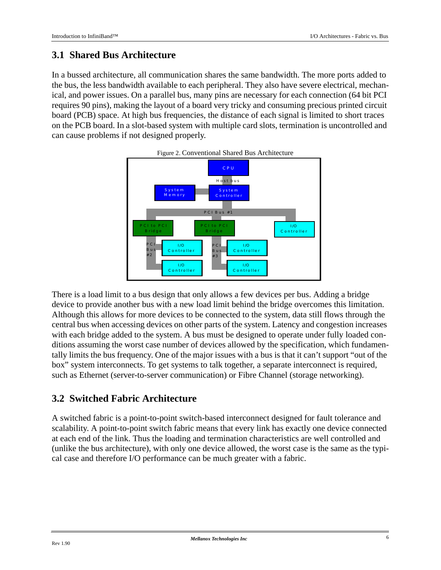# **3.1 Shared Bus Architecture**

In a bussed architecture, all communication shares the same bandwidth. The more ports added to the bus, the less bandwidth available to each peripheral. They also have severe electrical, mechanical, and power issues. On a parallel bus, many pins are necessary for each connection (64 bit PCI requires 90 pins), making the layout of a board very tricky and consuming precious printed circuit board (PCB) space. At high bus frequencies, the distance of each signal is limited to short traces on the PCB board. In a slot-based system with multiple card slots, termination is uncontrolled and can cause problems if not designed properly.



There is a load limit to a bus design that only allows a few devices per bus. Adding a bridge device to provide another bus with a new load limit behind the bridge overcomes this limitation. Although this allows for more devices to be connected to the system, data still flows through the central bus when accessing devices on other parts of the system. Latency and congestion increases with each bridge added to the system. A bus must be designed to operate under fully loaded conditions assuming the worst case number of devices allowed by the specification, which fundamentally limits the bus frequency. One of the major issues with a bus is that it can't support "out of the box" system interconnects. To get systems to talk together, a separate interconnect is required, such as Ethernet (server-to-server communication) or Fibre Channel (storage networking).

# **3.2 Switched Fabric Architecture**

A switched fabric is a point-to-point switch-based interconnect designed for fault tolerance and scalability. A point-to-point switch fabric means that every link has exactly one device connected at each end of the link. Thus the loading and termination characteristics are well controlled and (unlike the bus architecture), with only one device allowed, the worst case is the same as the typical case and therefore I/O performance can be much greater with a fabric.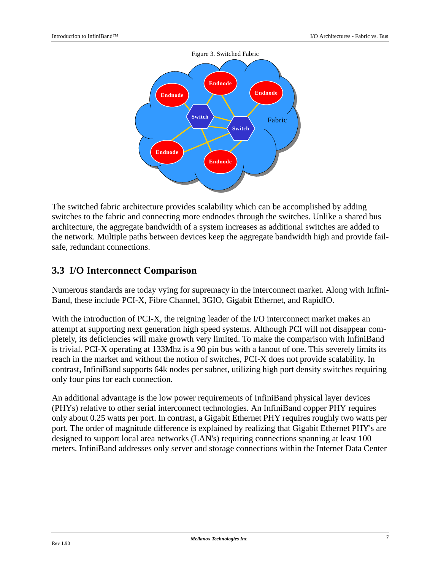

The switched fabric architecture provides scalability which can be accomplished by adding switches to the fabric and connecting more endnodes through the switches. Unlike a shared bus architecture, the aggregate bandwidth of a system increases as additional switches are added to the network. Multiple paths between devices keep the aggregate bandwidth high and provide failsafe, redundant connections.

# **3.3 I/O Interconnect Comparison**

Numerous standards are today vying for supremacy in the interconnect market. Along with Infini-Band, these include PCI-X, Fibre Channel, 3GIO, Gigabit Ethernet, and RapidIO.

With the introduction of PCI-X, the reigning leader of the I/O interconnect market makes an attempt at supporting next generation high speed systems. Although PCI will not disappear completely, its deficiencies will make growth very limited. To make the comparison with InfiniBand is trivial. PCI-X operating at 133Mhz is a 90 pin bus with a fanout of one. This severely limits its reach in the market and without the notion of switches, PCI-X does not provide scalability. In contrast, InfiniBand supports 64k nodes per subnet, utilizing high port density switches requiring only four pins for each connection.

An additional advantage is the low power requirements of InfiniBand physical layer devices (PHYs) relative to other serial interconnect technologies. An InfiniBand copper PHY requires only about 0.25 watts per port. In contrast, a Gigabit Ethernet PHY requires roughly two watts per port. The order of magnitude difference is explained by realizing that Gigabit Ethernet PHY's are designed to support local area networks (LAN's) requiring connections spanning at least 100 meters. InfiniBand addresses only server and storage connections within the Internet Data Center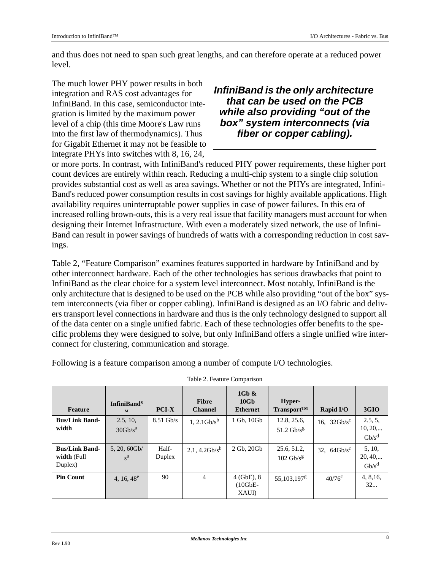and thus does not need to span such great lengths, and can therefore operate at a reduced power level.

The much lower PHY power results in both integration and RAS cost advantages for InfiniBand. In this case, semiconductor integration is limited by the maximum power level of a chip (this time Moore's Law runs into the first law of thermodynamics). Thus for Gigabit Ethernet it may not be feasible to integrate PHYs into switches with 8, 16, 24,

### *InfiniBand is the only architecture that can be used on the PCB while also providing "out of the box" system interconnects (via fiber or copper cabling).*

or more ports. In contrast, with InfiniBand's reduced PHY power requirements, these higher port count devices are entirely within reach. Reducing a multi-chip system to a single chip solution provides substantial cost as well as area savings. Whether or not the PHYs are integrated, Infini-Band's reduced power consumption results in cost savings for highly available applications. High availability requires uninterruptable power supplies in case of power failures. In this era of increased rolling brown-outs, this is a very real issue that facility managers must account for when designing their Internet Infrastructure. With even a moderately sized network, the use of Infini-Band can result in power savings of hundreds of watts with a corresponding reduction in cost savings.

[Table 2, "Feature Comparison"](#page-7-0) examines features supported in hardware by InfiniBand and by other interconnect hardware. Each of the other technologies has serious drawbacks that point to InfiniBand as the clear choice for a system level interconnect. Most notably, InfiniBand is the only architecture that is designed to be used on the PCB while also providing "out of the box" system interconnects (via fiber or copper cabling). InfiniBand is designed as an I/O fabric and delivers transport level connections in hardware and thus is the only technology designed to support all of the data center on a single unified fabric. Each of these technologies offer benefits to the specific problems they were designed to solve, but only InfiniBand offers a single unified wire interconnect for clustering, communication and storage.

Following is a feature comparison among a number of compute I/O technologies.

<span id="page-7-0"></span>

| Feature                                         | <b>InfiniBand</b> <sup>S</sup><br>M | <b>PCI-X</b>    | <b>Fibre</b><br><b>Channel</b> | $1Gb$ &<br>10Gb<br><b>Ethernet</b>   | Hyper-<br><b>Transport</b> <sup>TM</sup> | Rapid I/O       | 3GIO                                    |
|-------------------------------------------------|-------------------------------------|-----------------|--------------------------------|--------------------------------------|------------------------------------------|-----------------|-----------------------------------------|
| <b>Bus/Link Band-</b><br>width                  | 2.5, 10,<br>30Gb/s <sup>a</sup>     | $8.51$ Gb/s     | 1, 2.1 $Gb/s^b$                | 1 Gb, 10Gb                           | 12.8, 25.6,<br>$51.2 \text{Gb/s}^g$      | 16, $32Gb/s^c$  | 2.5, 5,<br>$10, 20, \ldots$<br>$Gb/s^d$ |
| <b>Bus/Link Band-</b><br>width (Full<br>Duplex) | $5, 20, 60$ Gb/<br>$s^a$            | Half-<br>Duplex | 2.1, $4.2Gb/s^b$               | 2 Gb, 20Gb                           | 25.6, 51.2,<br>$102 \text{ Gb/s}^g$      | 32. $64Gb/s^c$  | 5, 10,<br>20, 40,<br>$Gb/s^d$           |
| <b>Pin Count</b>                                | 4, 16, 48 $^{\rm e}$                | 90              | $\overline{4}$                 | $4$ (GbE), $8$<br>$(10GbE-$<br>XAUI) | 55,103,197 <sup>g</sup>                  | $40/76^{\circ}$ | 4, 8, 16,<br>32                         |

Table 2. Feature Comparison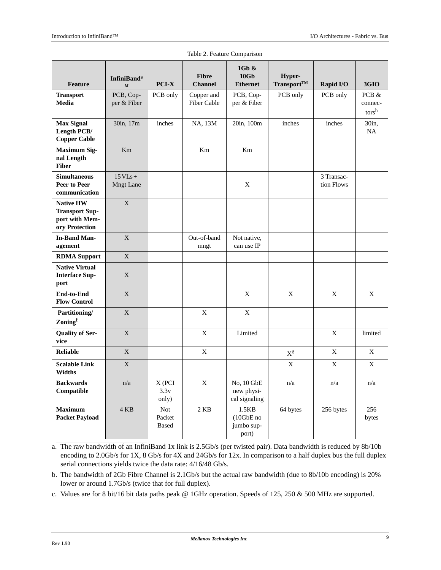| Feature                                                                       | <b>InfiniBand</b> <sup>S</sup><br>M | PCI-X                         | <b>Fibre</b><br><b>Channel</b> | $1Gb$ &<br>10Gb<br><b>Ethernet</b>        | Hyper-<br>$Transport^{TM}$ | Rapid I/O                | <b>3GIO</b>               |
|-------------------------------------------------------------------------------|-------------------------------------|-------------------------------|--------------------------------|-------------------------------------------|----------------------------|--------------------------|---------------------------|
| <b>Transport</b><br><b>Media</b>                                              | PCB, Cop-<br>per & Fiber            | PCB only                      | Copper and<br>Fiber Cable      | PCB, Cop-<br>per & Fiber                  | PCB only                   | PCB only                 | PCB &<br>connec-<br>torsh |
| <b>Max Signal</b><br>Length PCB/<br><b>Copper Cable</b>                       | 30in, 17m                           | inches                        | NA, 13M                        | 20in, 100m                                | inches                     | inches                   | 30in,<br>NA               |
| <b>Maximum Sig-</b><br>nal Length<br><b>Fiber</b>                             | Km                                  |                               | Km                             | Km                                        |                            |                          |                           |
| <b>Simultaneous</b><br>Peer to Peer<br>communication                          | $15\,VLs+$<br><b>Mngt Lane</b>      |                               |                                | X                                         |                            | 3 Transac-<br>tion Flows |                           |
| <b>Native HW</b><br><b>Transport Sup-</b><br>port with Mem-<br>ory Protection | $\mathbf X$                         |                               |                                |                                           |                            |                          |                           |
| <b>In-Band Man-</b><br>agement                                                | $\mathbf X$                         |                               | Out-of-band<br>mngt            | Not native,<br>can use IP                 |                            |                          |                           |
| <b>RDMA</b> Support                                                           | $\mathbf X$                         |                               |                                |                                           |                            |                          |                           |
| <b>Native Virtual</b><br><b>Interface Sup-</b><br>port                        | X                                   |                               |                                |                                           |                            |                          |                           |
| End-to-End<br><b>Flow Control</b>                                             | $\mathbf X$                         |                               |                                | X                                         | X                          | X                        | X                         |
| Partitioning/<br>Zoningf                                                      | X                                   |                               | $\mathbf X$                    | $\mathbf X$                               |                            |                          |                           |
| <b>Quality of Ser-</b><br>vice                                                | $\mathbf X$                         |                               | $\mathbf X$                    | Limited                                   |                            | X                        | limited                   |
| <b>Reliable</b>                                                               | $\mathbf X$                         |                               | $\mathbf X$                    |                                           | $\mathbf{X}^{\mathbf{g}}$  | X                        | X                         |
| <b>Scalable Link</b><br>Widths                                                | X                                   |                               |                                |                                           | X                          | X                        | X                         |
| <b>Backwards</b><br>Compatible                                                | n/a                                 | X (PCI<br>3.3v<br>only)       | X                              | No, 10 GbE<br>new physi-<br>cal signaling | n/a                        | n/a                      | n/a                       |
| <b>Maximum</b><br><b>Packet Payload</b>                                       | 4 KB                                | Not<br>Packet<br><b>Based</b> | $2\ \mathrm{KB}$               | 1.5KB<br>(10GbE no<br>jumbo sup-<br>port) | 64 bytes                   | 256 bytes                | 256<br>bytes              |

Table 2. Feature Comparison

a. The raw bandwidth of an InfiniBand 1x link is 2.5Gb/s (per twisted pair). Data bandwidth is reduced by 8b/10b encoding to 2.0Gb/s for 1X, 8 Gb/s for 4X and 24Gb/s for 12x. In comparison to a half duplex bus the full duplex serial connections yields twice the data rate: 4/16/48 Gb/s.

b. The bandwidth of 2Gb Fibre Channel is 2.1Gb/s but the actual raw bandwidth (due to 8b/10b encoding) is 20% lower or around 1.7Gb/s (twice that for full duplex).

c. Values are for 8 bit/16 bit data paths peak @ 1GHz operation. Speeds of 125, 250 & 500 MHz are supported.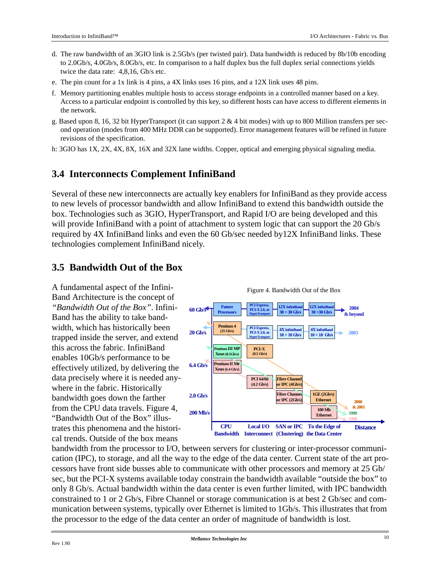- d. The raw bandwidth of an 3GIO link is 2.5Gb/s (per twisted pair). Data bandwidth is reduced by 8b/10b encoding to 2.0Gb/s, 4.0Gb/s, 8.0Gb/s, etc. In comparison to a half duplex bus the full duplex serial connections yields twice the data rate: 4,8,16, Gb/s etc.
- e. The pin count for a 1x link is 4 pins, a 4X links uses 16 pins, and a 12X link uses 48 pins.
- f. Memory partitioning enables multiple hosts to access storage endpoints in a controlled manner based on a key. Access to a particular endpoint is controlled by this key, so different hosts can have access to different elements in the network.
- g. Based upon 8, 16, 32 bit HyperTransport (it can support  $2 \& 4$  bit modes) with up to 800 Million transfers per second operation (modes from 400 MHz DDR can be supported). Error management features will be refined in future revisions of the specification.
- h: 3GIO has 1X, 2X, 4X, 8X, 16X and 32X lane widths. Copper, optical and emerging physical signaling media.

### **3.4 Interconnects Complement InfiniBand**

Several of these new interconnects are actually key enablers for InfiniBand as they provide access to new levels of processor bandwidth and allow InfiniBand to extend this bandwidth outside the box. Technologies such as 3GIO, HyperTransport, and Rapid I/O are being developed and this will provide InfiniBand with a point of attachment to system logic that can support the 20 Gb/s required by 4X InfiniBand links and even the 60 Gb/sec needed by12X InfiniBand links. These technologies complement InfiniBand nicely.

### **3.5 Bandwidth Out of the Box**

A fundamental aspect of the Infini-Band Architecture is the concept of *"Bandwidth Out of the Box"*. Infini-Band has the ability to take bandwidth, which has historically been trapped inside the server, and extend this across the fabric. InfiniBand enables 10Gb/s performance to be effectively utilized, by delivering the data precisely where it is needed anywhere in the fabric. Historically bandwidth goes down the farther from the CPU data travels. [Figure 4,](#page-9-0)  ["Bandwidth Out of the Box"](#page-9-0) illustrates this phenomena and the historical trends. Outside of the box means

<span id="page-9-0"></span>

bandwidth from the processor to I/O, between servers for clustering or inter-processor communication (IPC), to storage, and all the way to the edge of the data center. Current state of the art processors have front side busses able to communicate with other processors and memory at 25 Gb/ sec, but the PCI-X systems available today constrain the bandwidth available "outside the box" to only 8 Gb/s. Actual bandwidth within the data center is even further limited, with IPC bandwidth constrained to 1 or 2 Gb/s, Fibre Channel or storage communication is at best 2 Gb/sec and communication between systems, typically over Ethernet is limited to 1Gb/s. This illustrates that from the processor to the edge of the data center an order of magnitude of bandwidth is lost.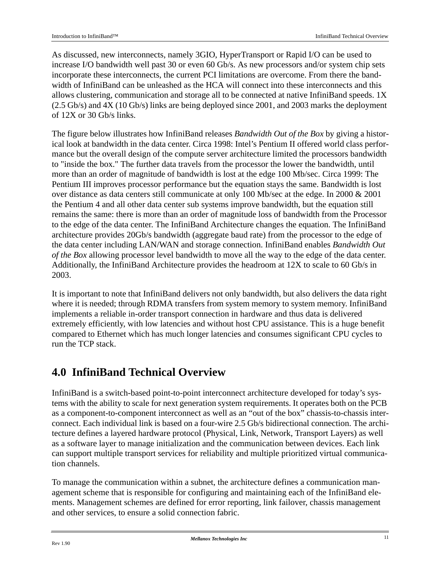As discussed, new interconnects, namely 3GIO, HyperTransport or Rapid I/O can be used to increase I/O bandwidth well past 30 or even 60 Gb/s. As new processors and/or system chip sets incorporate these interconnects, the current PCI limitations are overcome. From there the bandwidth of InfiniBand can be unleashed as the HCA will connect into these interconnects and this allows clustering, communication and storage all to be connected at native InfiniBand speeds. 1X (2.5 Gb/s) and 4X (10 Gb/s) links are being deployed since 2001, and 2003 marks the deployment of 12X or 30 Gb/s links.

The figure below illustrates how InfiniBand releases *Bandwidth Out of the Box* by giving a historical look at bandwidth in the data center. Circa 1998: Intel's Pentium II offered world class performance but the overall design of the compute server architecture limited the processors bandwidth to "inside the box." The further data travels from the processor the lower the bandwidth, until more than an order of magnitude of bandwidth is lost at the edge 100 Mb/sec. Circa 1999: The Pentium III improves processor performance but the equation stays the same. Bandwidth is lost over distance as data centers still communicate at only 100 Mb/sec at the edge. In 2000 & 2001 the Pentium 4 and all other data center sub systems improve bandwidth, but the equation still remains the same: there is more than an order of magnitude loss of bandwidth from the Processor to the edge of the data center. The InfiniBand Architecture changes the equation. The InfiniBand architecture provides 20Gb/s bandwidth (aggregate baud rate) from the processor to the edge of the data center including LAN/WAN and storage connection. InfiniBand enables *Bandwidth Out of the Box* allowing processor level bandwidth to move all the way to the edge of the data center. Additionally, the InfiniBand Architecture provides the headroom at 12X to scale to 60 Gb/s in 2003.

It is important to note that InfiniBand delivers not only bandwidth, but also delivers the data right where it is needed; through RDMA transfers from system memory to system memory. InfiniBand implements a reliable in-order transport connection in hardware and thus data is delivered extremely efficiently, with low latencies and without host CPU assistance. This is a huge benefit compared to Ethernet which has much longer latencies and consumes significant CPU cycles to run the TCP stack.

# **4.0 InfiniBand Technical Overview**

InfiniBand is a switch-based point-to-point interconnect architecture developed for today's systems with the ability to scale for next generation system requirements. It operates both on the PCB as a component-to-component interconnect as well as an "out of the box" chassis-to-chassis interconnect. Each individual link is based on a four-wire 2.5 Gb/s bidirectional connection. The architecture defines a layered hardware protocol (Physical, Link, Network, Transport Layers) as well as a software layer to manage initialization and the communication between devices. Each link can support multiple transport services for reliability and multiple prioritized virtual communication channels.

To manage the communication within a subnet, the architecture defines a communication management scheme that is responsible for configuring and maintaining each of the InfiniBand elements. Management schemes are defined for error reporting, link failover, chassis management and other services, to ensure a solid connection fabric.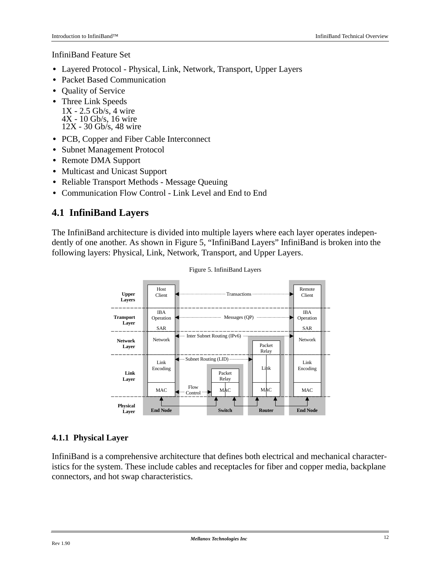InfiniBand Feature Set

- **•** Layered Protocol Physical, Link, Network, Transport, Upper Layers
- **•** Packet Based Communication
- **•** Quality of Service
- **•** Three Link Speeds 1X - 2.5 Gb/s, 4 wire 4X - 10 Gb/s, 16 wire 12X - 30 Gb/s, 48 wire
- **•** PCB, Copper and Fiber Cable Interconnect
- **•** Subnet Management Protocol
- **•** Remote DMA Support
- **•** Multicast and Unicast Support
- **•** Reliable Transport Methods Message Queuing
- **•** Communication Flow Control Link Level and End to End

### **4.1 InfiniBand Layers**

<span id="page-11-0"></span>The InfiniBand architecture is divided into multiple layers where each layer operates independently of one another. As shown in [Figure 5, "InfiniBand Layers"](#page-11-0) InfiniBand is broken into the following layers: Physical, Link, Network, Transport, and Upper Layers.



#### Figure 5. InfiniBand Layers

#### **4.1.1 Physical Layer**

InfiniBand is a comprehensive architecture that defines both electrical and mechanical characteristics for the system. These include cables and receptacles for fiber and copper media, backplane connectors, and hot swap characteristics.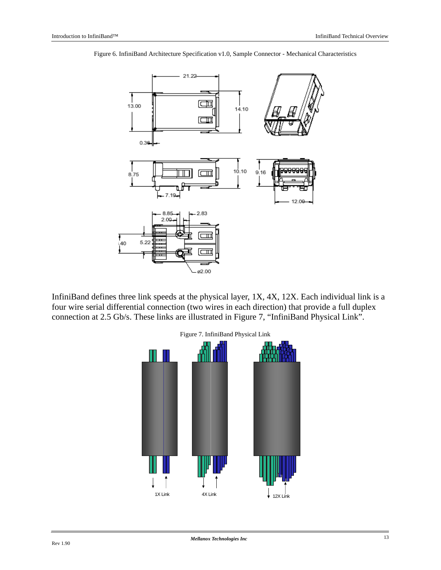

Figure 6. InfiniBand Architecture Specification v1.0, Sample Connector - Mechanical Characteristics

<span id="page-12-0"></span>InfiniBand defines three link speeds at the physical layer, 1X, 4X, 12X. Each individual link is a four wire serial differential connection (two wires in each direction) that provide a full duplex connection at 2.5 Gb/s. These links are illustrated in [Figure 7, "InfiniBand Physical Link"](#page-12-0).

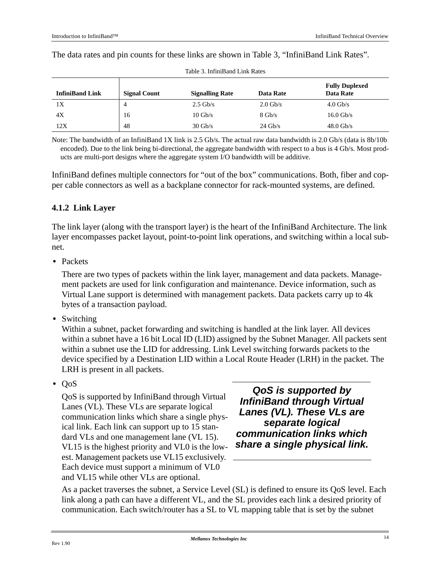<span id="page-13-0"></span>

| <b>InfiniBand Link</b> | <b>Signal Count</b> | <b>Signalling Rate</b> | Data Rate         | <b>Fully Duplexed</b><br>Data Rate |
|------------------------|---------------------|------------------------|-------------------|------------------------------------|
| 1Х                     | 4                   | $2.5$ Gb/s             | $2.0$ Gb/s        | $4.0$ Gb/s                         |
| 4X                     | 16                  | $10 \text{ Gb/s}$      | $8 \text{Gb/s}$   | $16.0$ Gb/s                        |
| 12X                    | 48                  | $30 \text{ Gb/s}$      | $24 \text{ Gb/s}$ | $48.0$ Gb/s                        |

Table 3. InfiniBand Link Rates

The data rates and pin counts for these links are shown in [Table 3, "InfiniBand Link Rates".](#page-13-0)

Note: The bandwidth of an InfiniBand 1X link is 2.5 Gb/s. The actual raw data bandwidth is 2.0 Gb/s (data is 8b/10b encoded). Due to the link being bi-directional, the aggregate bandwidth with respect to a bus is 4 Gb/s. Most products are multi-port designs where the aggregate system I/O bandwidth will be additive.

InfiniBand defines multiple connectors for "out of the box" communications. Both, fiber and copper cable connectors as well as a backplane connector for rack-mounted systems, are defined.

### **4.1.2 Link Layer**

The link layer (along with the transport layer) is the heart of the InfiniBand Architecture. The link layer encompasses packet layout, point-to-point link operations, and switching within a local subnet.

**•** Packets

There are two types of packets within the link layer, management and data packets. Management packets are used for link configuration and maintenance. Device information, such as Virtual Lane support is determined with management packets. Data packets carry up to 4k bytes of a transaction payload.

**•** Switching

Within a subnet, packet forwarding and switching is handled at the link layer. All devices within a subnet have a 16 bit Local ID (LID) assigned by the Subnet Manager. All packets sent within a subnet use the LID for addressing. Link Level switching forwards packets to the device specified by a Destination LID within a Local Route Header (LRH) in the packet. The LRH is present in all packets.

**•** QoS

QoS is supported by InfiniBand through Virtual Lanes (VL). These VLs are separate logical communication links which share a single physical link. Each link can support up to 15 standard VLs and one management lane (VL 15). VL15 is the highest priority and VL0 is the lowest. Management packets use VL15 exclusively. Each device must support a minimum of VL0 and VL15 while other VLs are optional.

*QoS is supported by InfiniBand through Virtual Lanes (VL). These VLs are separate logical communication links which share a single physical link.*

As a packet traverses the subnet, a Service Level (SL) is defined to ensure its QoS level. Each link along a path can have a different VL, and the SL provides each link a desired priority of communication. Each switch/router has a SL to VL mapping table that is set by the subnet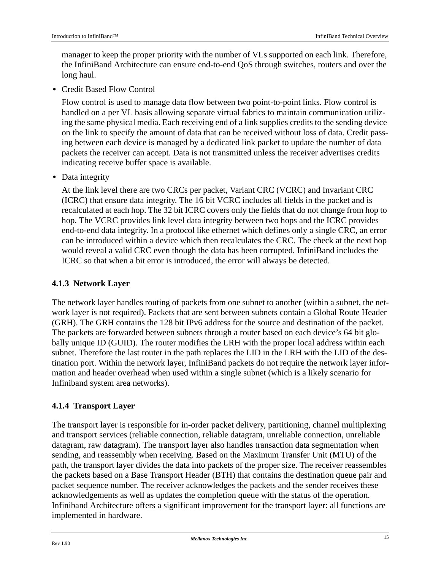manager to keep the proper priority with the number of VLs supported on each link. Therefore, the InfiniBand Architecture can ensure end-to-end QoS through switches, routers and over the long haul.

**•** Credit Based Flow Control

Flow control is used to manage data flow between two point-to-point links. Flow control is handled on a per VL basis allowing separate virtual fabrics to maintain communication utilizing the same physical media. Each receiving end of a link supplies credits to the sending device on the link to specify the amount of data that can be received without loss of data. Credit passing between each device is managed by a dedicated link packet to update the number of data packets the receiver can accept. Data is not transmitted unless the receiver advertises credits indicating receive buffer space is available.

**•** Data integrity

At the link level there are two CRCs per packet, Variant CRC (VCRC) and Invariant CRC (ICRC) that ensure data integrity. The 16 bit VCRC includes all fields in the packet and is recalculated at each hop. The 32 bit ICRC covers only the fields that do not change from hop to hop. The VCRC provides link level data integrity between two hops and the ICRC provides end-to-end data integrity. In a protocol like ethernet which defines only a single CRC, an error can be introduced within a device which then recalculates the CRC. The check at the next hop would reveal a valid CRC even though the data has been corrupted. InfiniBand includes the ICRC so that when a bit error is introduced, the error will always be detected.

#### **4.1.3 Network Layer**

The network layer handles routing of packets from one subnet to another (within a subnet, the network layer is not required). Packets that are sent between subnets contain a Global Route Header (GRH). The GRH contains the 128 bit IPv6 address for the source and destination of the packet. The packets are forwarded between subnets through a router based on each device's 64 bit globally unique ID (GUID). The router modifies the LRH with the proper local address within each subnet. Therefore the last router in the path replaces the LID in the LRH with the LID of the destination port. Within the network layer, InfiniBand packets do not require the network layer information and header overhead when used within a single subnet (which is a likely scenario for Infiniband system area networks).

#### **4.1.4 Transport Layer**

The transport layer is responsible for in-order packet delivery, partitioning, channel multiplexing and transport services (reliable connection, reliable datagram, unreliable connection, unreliable datagram, raw datagram). The transport layer also handles transaction data segmentation when sending, and reassembly when receiving. Based on the Maximum Transfer Unit (MTU) of the path, the transport layer divides the data into packets of the proper size. The receiver reassembles the packets based on a Base Transport Header (BTH) that contains the destination queue pair and packet sequence number. The receiver acknowledges the packets and the sender receives these acknowledgements as well as updates the completion queue with the status of the operation. Infiniband Architecture offers a significant improvement for the transport layer: all functions are implemented in hardware.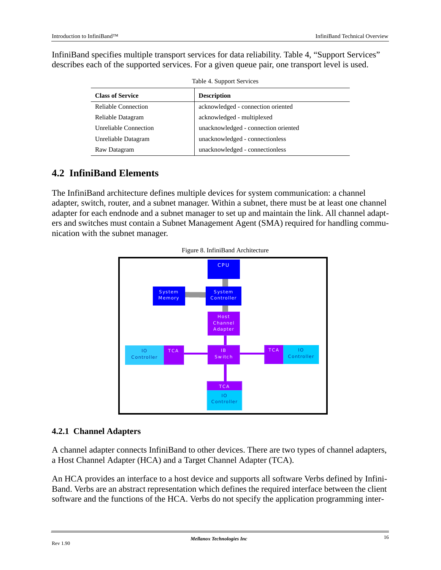| Table 4. Support Services  |                                      |  |
|----------------------------|--------------------------------------|--|
| <b>Class of Service</b>    | <b>Description</b>                   |  |
| <b>Reliable Connection</b> | acknowledged - connection oriented   |  |
| Reliable Datagram          | acknowledged - multiplexed           |  |
| Unreliable Connection      | unacknowledged - connection oriented |  |
| Unreliable Datagram        | unacknowledged - connectionless      |  |
| Raw Datagram               | unacknowledged - connectionless      |  |

<span id="page-15-0"></span>InfiniBand specifies multiple transport services for data reliability. [Table 4, "Support Services"](#page-15-0)  describes each of the supported services. For a given queue pair, one transport level is used.

# **4.2 InfiniBand Elements**

The InfiniBand architecture defines multiple devices for system communication: a channel adapter, switch, router, and a subnet manager. Within a subnet, there must be at least one channel adapter for each endnode and a subnet manager to set up and maintain the link. All channel adapters and switches must contain a Subnet Management Agent (SMA) required for handling communication with the subnet manager.





#### **4.2.1 Channel Adapters**

A channel adapter connects InfiniBand to other devices. There are two types of channel adapters, a Host Channel Adapter (HCA) and a Target Channel Adapter (TCA).

An HCA provides an interface to a host device and supports all software Verbs defined by Infini-Band. Verbs are an abstract representation which defines the required interface between the client software and the functions of the HCA. Verbs do not specify the application programming inter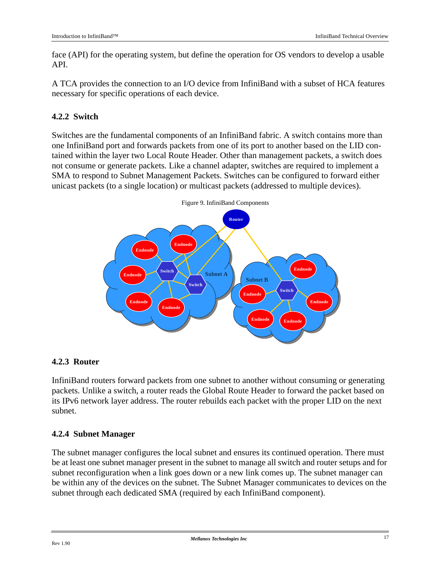face (API) for the operating system, but define the operation for OS vendors to develop a usable API.

A TCA provides the connection to an I/O device from InfiniBand with a subset of HCA features necessary for specific operations of each device.

#### **4.2.2 Switch**

Switches are the fundamental components of an InfiniBand fabric. A switch contains more than one InfiniBand port and forwards packets from one of its port to another based on the LID contained within the layer two Local Route Header. Other than management packets, a switch does not consume or generate packets. Like a channel adapter, switches are required to implement a SMA to respond to Subnet Management Packets. Switches can be configured to forward either unicast packets (to a single location) or multicast packets (addressed to multiple devices).



#### **4.2.3 Router**

InfiniBand routers forward packets from one subnet to another without consuming or generating packets. Unlike a switch, a router reads the Global Route Header to forward the packet based on its IPv6 network layer address. The router rebuilds each packet with the proper LID on the next subnet.

#### **4.2.4 Subnet Manager**

The subnet manager configures the local subnet and ensures its continued operation. There must be at least one subnet manager present in the subnet to manage all switch and router setups and for subnet reconfiguration when a link goes down or a new link comes up. The subnet manager can be within any of the devices on the subnet. The Subnet Manager communicates to devices on the subnet through each dedicated SMA (required by each InfiniBand component).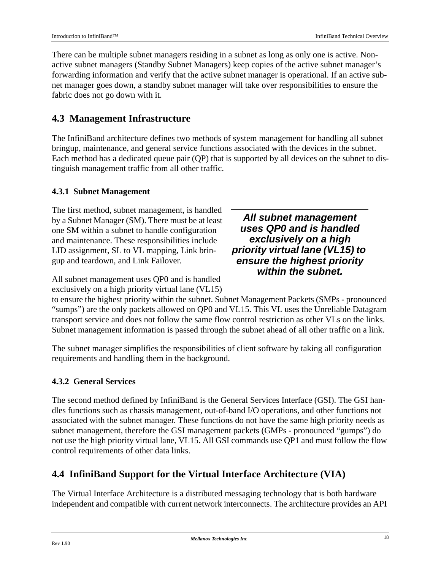There can be multiple subnet managers residing in a subnet as long as only one is active. Nonactive subnet managers (Standby Subnet Managers) keep copies of the active subnet manager's forwarding information and verify that the active subnet manager is operational. If an active subnet manager goes down, a standby subnet manager will take over responsibilities to ensure the fabric does not go down with it.

# **4.3 Management Infrastructure**

The InfiniBand architecture defines two methods of system management for handling all subnet bringup, maintenance, and general service functions associated with the devices in the subnet. Each method has a dedicated queue pair (QP) that is supported by all devices on the subnet to distinguish management traffic from all other traffic.

#### **4.3.1 Subnet Management**

The first method, subnet management, is handled by a Subnet Manager (SM). There must be at least one SM within a subnet to handle configuration and maintenance. These responsibilities include LID assignment, SL to VL mapping, Link bringup and teardown, and Link Failover.

All subnet management uses QP0 and is handled exclusively on a high priority virtual lane (VL15)

to ensure the highest priority within the subnet. Subnet Management Packets (SMPs - pronounced "sumps") are the only packets allowed on QP0 and VL15. This VL uses the Unreliable Datagram transport service and does not follow the same flow control restriction as other VLs on the links. Subnet management information is passed through the subnet ahead of all other traffic on a link.

The subnet manager simplifies the responsibilities of client software by taking all configuration requirements and handling them in the background.

#### **4.3.2 General Services**

The second method defined by InfiniBand is the General Services Interface (GSI). The GSI handles functions such as chassis management, out-of-band I/O operations, and other functions not associated with the subnet manager. These functions do not have the same high priority needs as subnet management, therefore the GSI management packets (GMPs - pronounced "gumps") do not use the high priority virtual lane, VL15. All GSI commands use QP1 and must follow the flow control requirements of other data links.

# **4.4 InfiniBand Support for the Virtual Interface Architecture (VIA)**

The Virtual Interface Architecture is a distributed messaging technology that is both hardware independent and compatible with current network interconnects. The architecture provides an API

*All subnet management uses QP0 and is handled exclusively on a high priority virtual lane (VL15) to ensure the highest priority within the subnet.*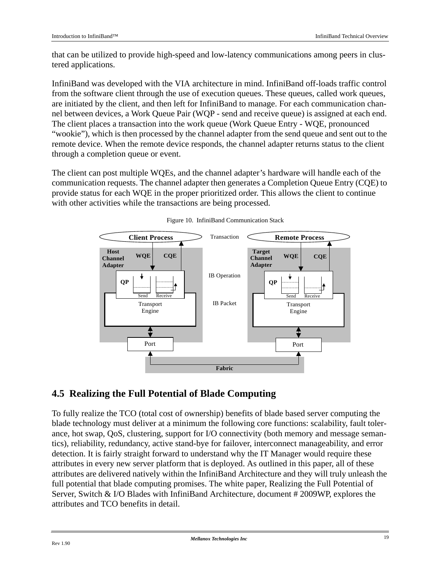that can be utilized to provide high-speed and low-latency communications among peers in clustered applications.

InfiniBand was developed with the VIA architecture in mind. InfiniBand off-loads traffic control from the software client through the use of execution queues. These queues, called work queues, are initiated by the client, and then left for InfiniBand to manage. For each communication channel between devices, a Work Queue Pair (WQP - send and receive queue) is assigned at each end. The client places a transaction into the work queue (Work Queue Entry - WQE, pronounced "wookie"), which is then processed by the channel adapter from the send queue and sent out to the remote device. When the remote device responds, the channel adapter returns status to the client through a completion queue or event.

The client can post multiple WQEs, and the channel adapter's hardware will handle each of the communication requests. The channel adapter then generates a Completion Queue Entry (CQE) to provide status for each WQE in the proper prioritized order. This allows the client to continue with other activities while the transactions are being processed.



Figure 10. InfiniBand Communication Stack

# **4.5 Realizing the Full Potential of Blade Computing**

To fully realize the TCO (total cost of ownership) benefits of blade based server computing the blade technology must deliver at a minimum the following core functions: scalability, fault tolerance, hot swap, QoS, clustering, support for I/O connectivity (both memory and message semantics), reliability, redundancy, active stand-bye for failover, interconnect manageability, and error detection. It is fairly straight forward to understand why the IT Manager would require these attributes in every new server platform that is deployed. As outlined in this paper, all of these attributes are delivered natively within the InfiniBand Architecture and they will truly unleash the full potential that blade computing promises. The white paper, Realizing the Full Potential of Server, Switch & I/O Blades with InfiniBand Architecture, document # 2009WP, explores the attributes and TCO benefits in detail.